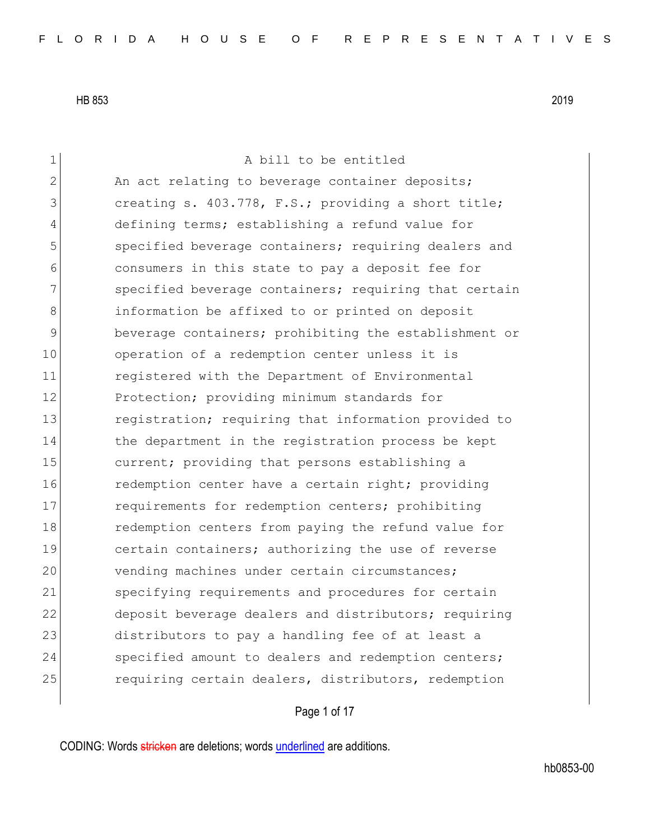1 a bill to be entitled 2 An act relating to beverage container deposits; 3 **creating s. 403.778, F.S.; providing a short title;** 4 defining terms; establishing a refund value for 5 specified beverage containers; requiring dealers and 6 consumers in this state to pay a deposit fee for 7 Specified beverage containers; requiring that certain 8 **information be affixed to or printed on deposit** 9 beverage containers; prohibiting the establishment or 10 operation of a redemption center unless it is 11 registered with the Department of Environmental 12 Protection; providing minimum standards for 13 registration; requiring that information provided to 14 the department in the registration process be kept 15 current; providing that persons establishing a 16 **redemption center have a certain right;** providing 17 **requirements for redemption centers;** prohibiting 18 redemption centers from paying the refund value for 19 **certain containers;** authorizing the use of reverse 20 vending machines under certain circumstances; 21 specifying requirements and procedures for certain 22 deposit beverage dealers and distributors; requiring 23 distributors to pay a handling fee of at least a 24 Specified amount to dealers and redemption centers; 25 requiring certain dealers, distributors, redemption

Page 1 of 17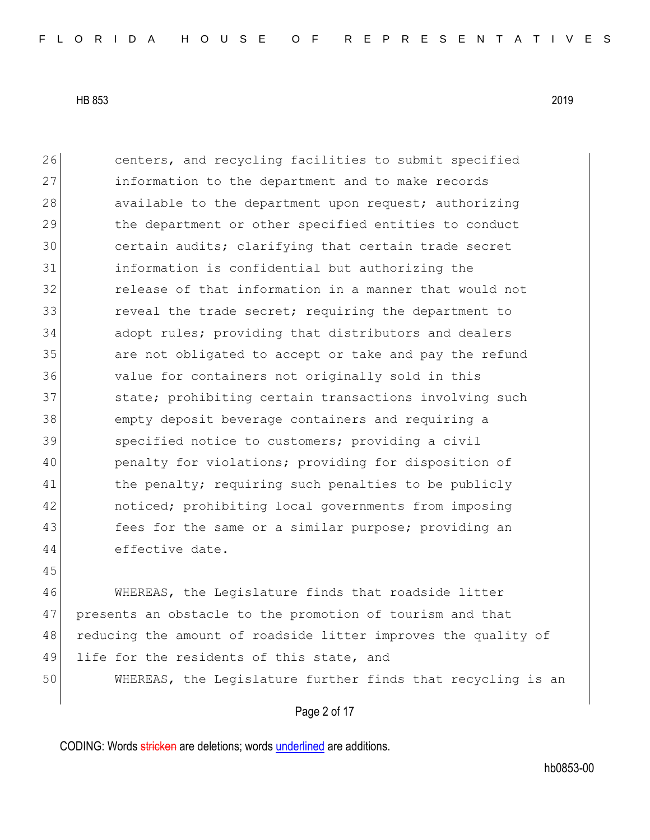45

26 centers, and recycling facilities to submit specified 27 information to the department and to make records 28 available to the department upon request; authorizing 29 the department or other specified entities to conduct 30 certain audits; clarifying that certain trade secret 31 information is confidential but authorizing the 32 release of that information in a manner that would not 33 **cancerer in the trade secret;** requiring the department to 34 adopt rules; providing that distributors and dealers 35 are not obligated to accept or take and pay the refund 36 value for containers not originally sold in this 37 state; prohibiting certain transactions involving such 38 empty deposit beverage containers and requiring a 39 Specified notice to customers; providing a civil 40 penalty for violations; providing for disposition of 41 the penalty; requiring such penalties to be publicly 42 noticed; prohibiting local governments from imposing 43 **fees for the same or a similar purpose;** providing an 44 effective date.

46 WHEREAS, the Legislature finds that roadside litter 47 presents an obstacle to the promotion of tourism and that 48 reducing the amount of roadside litter improves the quality of 49 life for the residents of this state, and 50 WHEREAS, the Legislature further finds that recycling is an

Page 2 of 17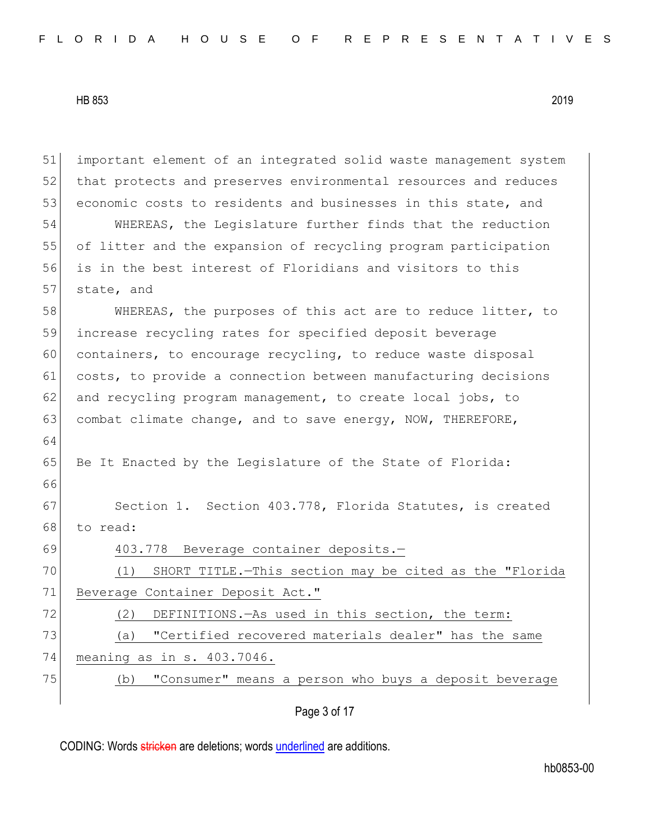Page 3 of 17 51 important element of an integrated solid waste management system 52 that protects and preserves environmental resources and reduces 53 economic costs to residents and businesses in this state, and 54 WHEREAS, the Legislature further finds that the reduction 55 of litter and the expansion of recycling program participation 56 is in the best interest of Floridians and visitors to this 57 state, and 58 WHEREAS, the purposes of this act are to reduce litter, to 59 increase recycling rates for specified deposit beverage 60 containers, to encourage recycling, to reduce waste disposal 61 costs, to provide a connection between manufacturing decisions 62 and recycling program management, to create local jobs, to 63 combat climate change, and to save energy, NOW, THEREFORE, 64 65 Be It Enacted by the Legislature of the State of Florida: 66 67 Section 1. Section 403.778, Florida Statutes, is created 68 to read: 69 403.778 Beverage container deposits.— 70 (1) SHORT TITLE.—This section may be cited as the "Florida 71 Beverage Container Deposit Act." 72 (2) DEFINITIONS.—As used in this section, the term: 73 (a) "Certified recovered materials dealer" has the same 74 meaning as in s. 403.7046. 75 (b) "Consumer" means a person who buys a deposit beverage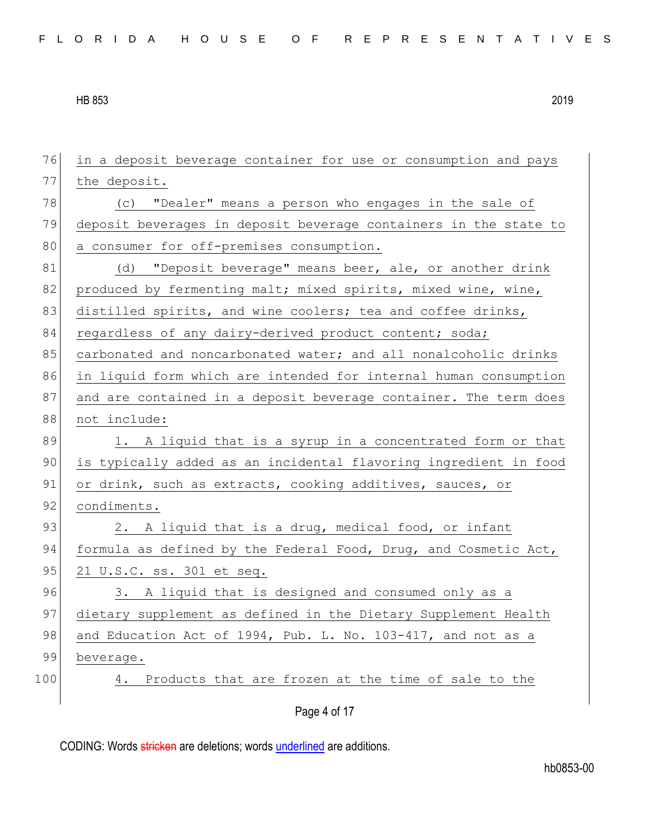| 76  | in a deposit beverage container for use or consumption and pays  |
|-----|------------------------------------------------------------------|
| 77  | the deposit.                                                     |
| 78  | "Dealer" means a person who engages in the sale of<br>(C)        |
| 79  | deposit beverages in deposit beverage containers in the state to |
| 80  | a consumer for off-premises consumption.                         |
| 81  | "Deposit beverage" means beer, ale, or another drink<br>(d)      |
| 82  | produced by fermenting malt; mixed spirits, mixed wine, wine,    |
| 83  | distilled spirits, and wine coolers; tea and coffee drinks,      |
| 84  | regardless of any dairy-derived product content; soda;           |
| 85  | carbonated and noncarbonated water; and all nonalcoholic drinks  |
| 86  | in liquid form which are intended for internal human consumption |
| 87  | and are contained in a deposit beverage container. The term does |
| 88  | not include:                                                     |
| 89  | 1. A liquid that is a syrup in a concentrated form or that       |
| 90  | is typically added as an incidental flavoring ingredient in food |
| 91  | or drink, such as extracts, cooking additives, sauces, or        |
| 92  | condiments.                                                      |
| 93  | 2. A liquid that is a drug, medical food, or infant              |
| 94  | formula as defined by the Federal Food, Drug, and Cosmetic Act,  |
| 95  | 21 U.S.C. ss. 301 et seq.                                        |
| 96  | 3. A liquid that is designed and consumed only as a              |
| 97  | dietary supplement as defined in the Dietary Supplement Health   |
| 98  | and Education Act of 1994, Pub. L. No. 103-417, and not as a     |
| 99  | beverage.                                                        |
| 100 | Products that are frozen at the time of sale to the<br>4.        |
|     | Page 4 of 17                                                     |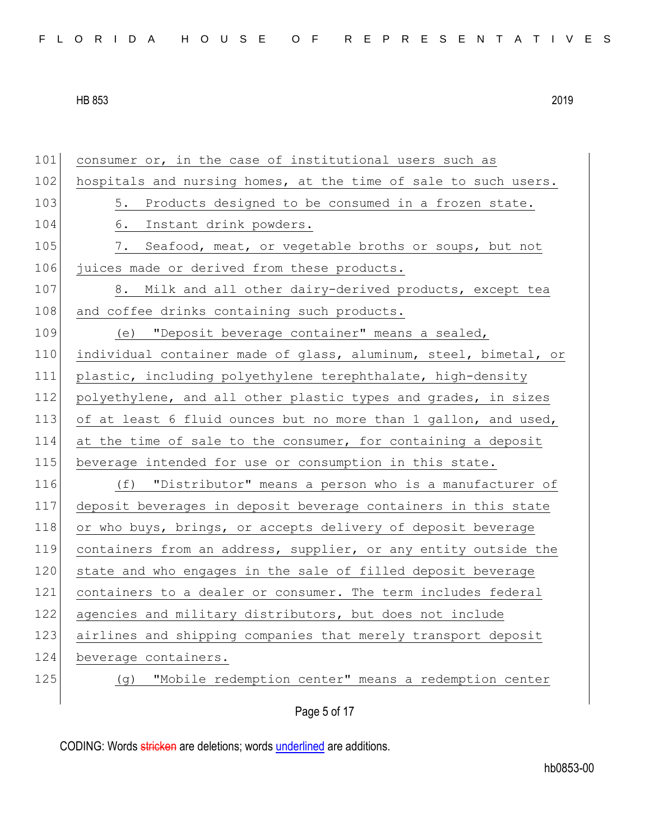| FLORIDA HOUSE OF REPRESENTATIVES |  |
|----------------------------------|--|
|----------------------------------|--|

101 consumer or, in the case of institutional users such as 102 hospitals and nursing homes, at the time of sale to such users. 103 5. Products designed to be consumed in a frozen state. 104 6. Instant drink powders. 105 7. Seafood, meat, or vegetable broths or soups, but not 106 juices made or derived from these products. 107 8. Milk and all other dairy-derived products, except tea 108 and coffee drinks containing such products. 109 (e) "Deposit beverage container" means a sealed, 110 individual container made of glass, aluminum, steel, bimetal, or 111 plastic, including polyethylene terephthalate, high-density 112 polyethylene, and all other plastic types and grades, in sizes 113 of at least 6 fluid ounces but no more than 1 gallon, and used, 114 at the time of sale to the consumer, for containing a deposit 115 beverage intended for use or consumption in this state. 116 (f) "Distributor" means a person who is a manufacturer of 117 deposit beverages in deposit beverage containers in this state 118 or who buys, brings, or accepts delivery of deposit beverage 119 containers from an address, supplier, or any entity outside the 120 state and who engages in the sale of filled deposit beverage 121 containers to a dealer or consumer. The term includes federal 122 agencies and military distributors, but does not include 123 airlines and shipping companies that merely transport deposit 124 beverage containers. 125 (g) "Mobile redemption center" means a redemption center

Page 5 of 17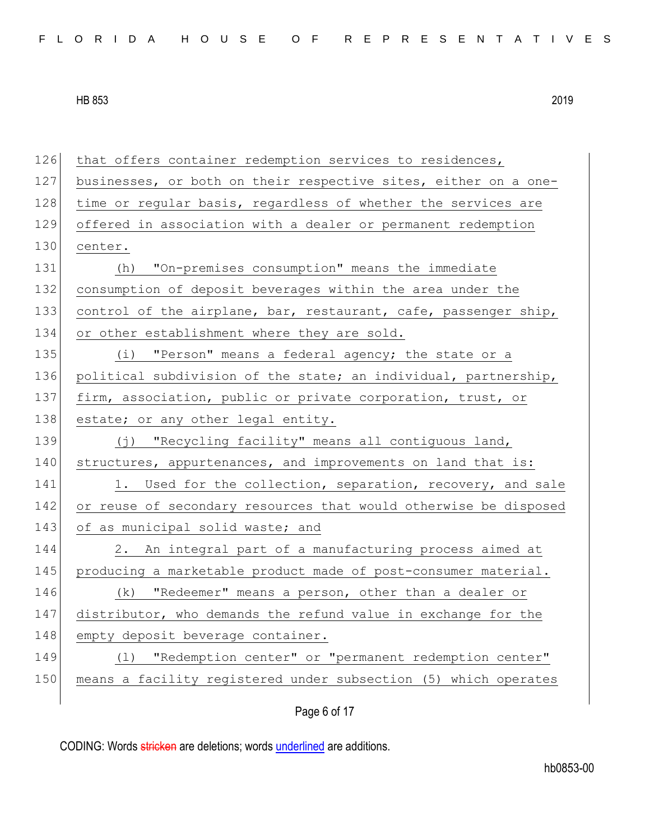| 126 | that offers container redemption services to residences,         |
|-----|------------------------------------------------------------------|
| 127 | businesses, or both on their respective sites, either on a one-  |
| 128 | time or regular basis, regardless of whether the services are    |
| 129 | offered in association with a dealer or permanent redemption     |
| 130 | center.                                                          |
| 131 | "On-premises consumption" means the immediate<br>(h)             |
| 132 | consumption of deposit beverages within the area under the       |
| 133 | control of the airplane, bar, restaurant, cafe, passenger ship,  |
| 134 | or other establishment where they are sold.                      |
| 135 | (i) "Person" means a federal agency; the state or a              |
| 136 | political subdivision of the state; an individual, partnership,  |
| 137 | firm, association, public or private corporation, trust, or      |
| 138 | estate; or any other legal entity.                               |
| 139 | (j) "Recycling facility" means all contiguous land,              |
| 140 | structures, appurtenances, and improvements on land that is:     |
|     |                                                                  |
| 141 | Used for the collection, separation, recovery, and sale<br>1.    |
| 142 | or reuse of secondary resources that would otherwise be disposed |
| 143 | of as municipal solid waste; and                                 |
| 144 | 2. An integral part of a manufacturing process aimed at          |
| 145 | producing a marketable product made of post-consumer material.   |
| 146 | (k) "Redeemer" means a person, other than a dealer or            |
| 147 | distributor, who demands the refund value in exchange for the    |
| 148 | empty deposit beverage container.                                |
| 149 | "Redemption center" or "permanent redemption center"<br>(1)      |
| 150 | means a facility registered under subsection (5) which operates  |

Page 6 of 17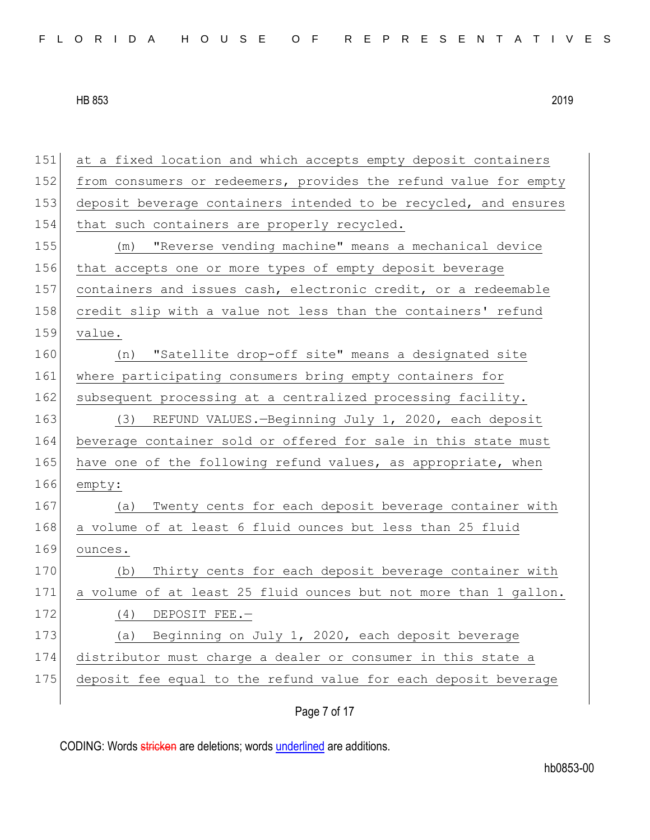| 151 | at a fixed location and which accepts empty deposit containers   |
|-----|------------------------------------------------------------------|
| 152 | from consumers or redeemers, provides the refund value for empty |
| 153 | deposit beverage containers intended to be recycled, and ensures |
| 154 | that such containers are properly recycled.                      |
| 155 | "Reverse vending machine" means a mechanical device<br>(m)       |
| 156 | that accepts one or more types of empty deposit beverage         |
| 157 | containers and issues cash, electronic credit, or a redeemable   |
| 158 | credit slip with a value not less than the containers' refund    |
| 159 | value.                                                           |
| 160 | (n) "Satellite drop-off site" means a designated site            |
| 161 | where participating consumers bring empty containers for         |
| 162 | subsequent processing at a centralized processing facility.      |
| 163 | REFUND VALUES.-Beginning July 1, 2020, each deposit<br>(3)       |
| 164 | beverage container sold or offered for sale in this state must   |
| 165 | have one of the following refund values, as appropriate, when    |
| 166 | empty:                                                           |
| 167 | Twenty cents for each deposit beverage container with<br>(a)     |
| 168 | a volume of at least 6 fluid ounces but less than 25 fluid       |
| 169 | ounces.                                                          |
| 170 | Thirty cents for each deposit beverage container with<br>(b)     |
| 171 | a volume of at least 25 fluid ounces but not more than 1 gallon. |
| 172 | (4)<br>DEPOSIT FEE.-                                             |
| 173 | Beginning on July 1, 2020, each deposit beverage<br>(a)          |
| 174 | distributor must charge a dealer or consumer in this state a     |
| 175 | deposit fee equal to the refund value for each deposit beverage  |
|     |                                                                  |

Page 7 of 17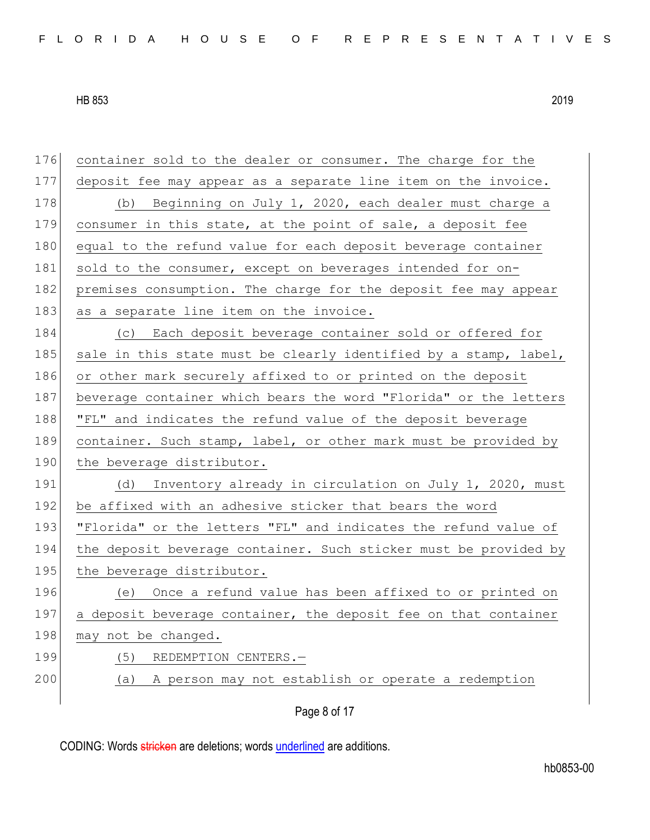176 container sold to the dealer or consumer. The charge for the 177 deposit fee may appear as a separate line item on the invoice. 178 (b) Beginning on July 1, 2020, each dealer must charge a 179 consumer in this state, at the point of sale, a deposit fee 180 equal to the refund value for each deposit beverage container 181 sold to the consumer, except on beverages intended for on-182 premises consumption. The charge for the deposit fee may appear 183 as a separate line item on the invoice. 184 (c) Each deposit beverage container sold or offered for 185 sale in this state must be clearly identified by a stamp, label, 186 or other mark securely affixed to or printed on the deposit 187 beverage container which bears the word "Florida" or the letters 188 | "FL" and indicates the refund value of the deposit beverage 189 container. Such stamp, label, or other mark must be provided by 190 the beverage distributor. 191 (d) Inventory already in circulation on July 1, 2020, must 192 be affixed with an adhesive sticker that bears the word 193 | "Florida" or the letters "FL" and indicates the refund value of 194 the deposit beverage container. Such sticker must be provided by 195 the beverage distributor. 196 (e) Once a refund value has been affixed to or printed on 197 a deposit beverage container, the deposit fee on that container 198 may not be changed. 199 (5) REDEMPTION CENTERS. 200 (a) A person may not establish or operate a redemption

Page 8 of 17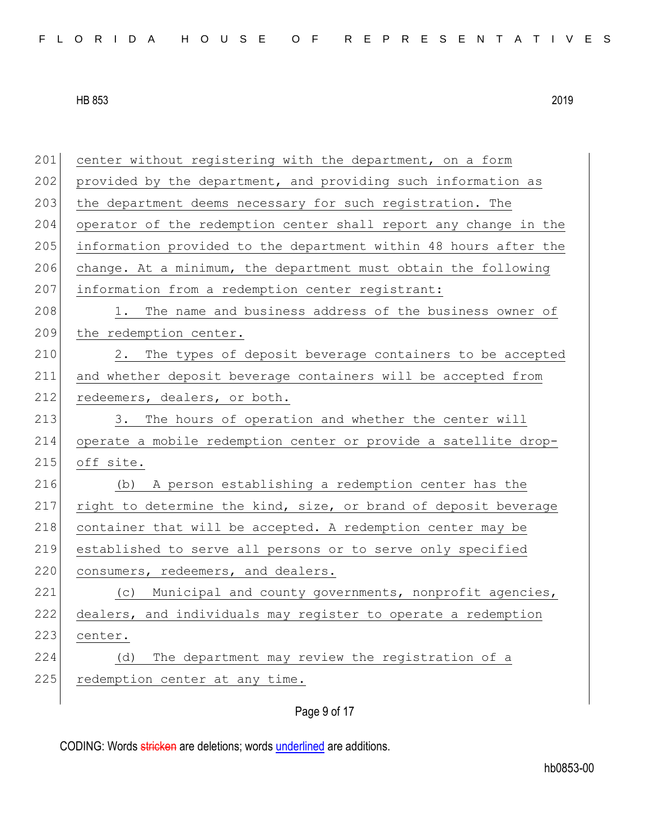201 center without registering with the department, on a form 202 provided by the department, and providing such information as 203 the department deems necessary for such registration. The 204 operator of the redemption center shall report any change in the 205 information provided to the department within 48 hours after the 206 change. At a minimum, the department must obtain the following 207 information from a redemption center registrant: 208 1. The name and business address of the business owner of 209 the redemption center. 210 2. The types of deposit beverage containers to be accepted 211 and whether deposit beverage containers will be accepted from 212 redeemers, dealers, or both. 213 3. The hours of operation and whether the center will 214 operate a mobile redemption center or provide a satellite drop-215 off site. 216 (b) A person establishing a redemption center has the 217 right to determine the kind, size, or brand of deposit beverage 218 container that will be accepted. A redemption center may be 219 established to serve all persons or to serve only specified 220 consumers, redeemers, and dealers. 221 (c) Municipal and county governments, nonprofit agencies, 222 dealers, and individuals may register to operate a redemption 223 center. 224 (d) The department may review the registration of a 225 redemption center at any time.

Page 9 of 17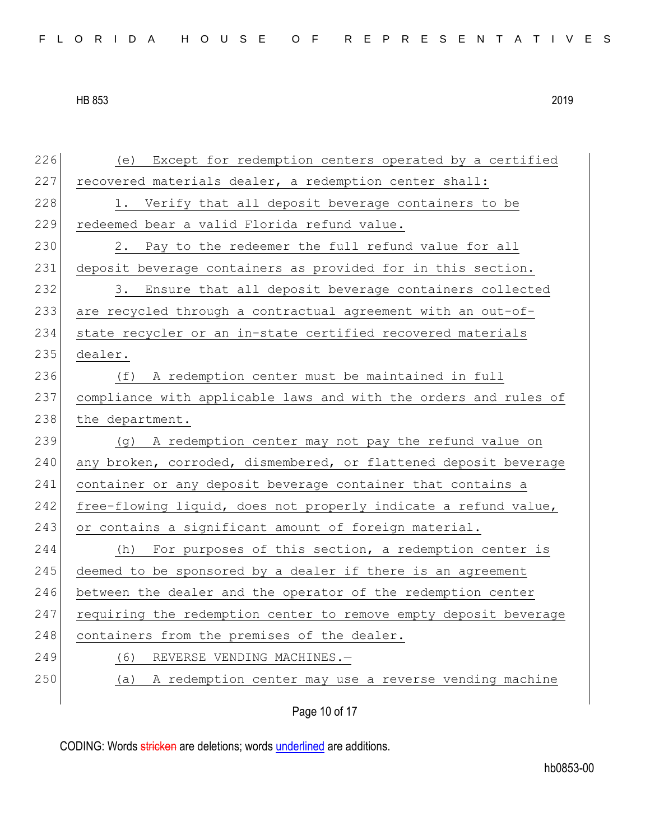226 (e) Except for redemption centers operated by a certified 227 recovered materials dealer, a redemption center shall: 228 1. Verify that all deposit beverage containers to be 229 redeemed bear a valid Florida refund value. 230 2. Pay to the redeemer the full refund value for all 231 deposit beverage containers as provided for in this section. 232 3. Ensure that all deposit beverage containers collected 233 are recycled through a contractual agreement with an out-of-234 state recycler or an in-state certified recovered materials 235 dealer. 236 (f) A redemption center must be maintained in full 237 compliance with applicable laws and with the orders and rules of 238 the department. 239 (g) A redemption center may not pay the refund value on 240 any broken, corroded, dismembered, or flattened deposit beverage 241 container or any deposit beverage container that contains a 242 free-flowing liquid, does not properly indicate a refund value, 243 or contains a significant amount of foreign material. 244 (h) For purposes of this section, a redemption center is 245 deemed to be sponsored by a dealer if there is an agreement 246 between the dealer and the operator of the redemption center 247 requiring the redemption center to remove empty deposit beverage 248 containers from the premises of the dealer. 249 (6) REVERSE VENDING MACHINES.-250 (a) A redemption center may use a reverse vending machine

Page 10 of 17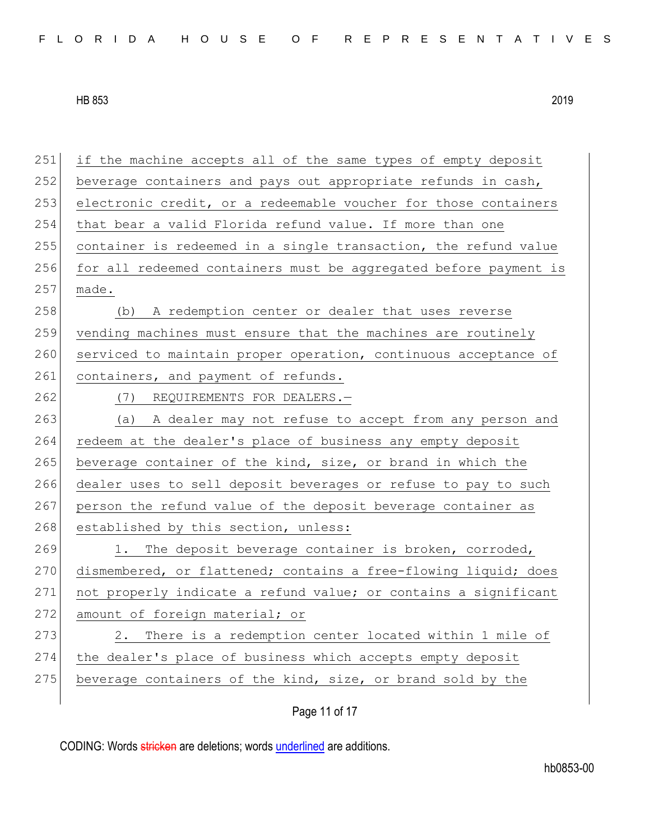251 if the machine accepts all of the same types of empty deposit 252 beverage containers and pays out appropriate refunds in cash, 253 electronic credit, or a redeemable voucher for those containers 254 that bear a valid Florida refund value. If more than one 255 container is redeemed in a single transaction, the refund value 256 for all redeemed containers must be aggregated before payment is  $257$  made. 258 (b) A redemption center or dealer that uses reverse 259 vending machines must ensure that the machines are routinely 260 serviced to maintain proper operation, continuous acceptance of 261 containers, and payment of refunds. 262 (7) REQUIREMENTS FOR DEALERS.-263 (a) A dealer may not refuse to accept from any person and 264 redeem at the dealer's place of business any empty deposit 265 beverage container of the kind, size, or brand in which the 266 dealer uses to sell deposit beverages or refuse to pay to such 267 person the refund value of the deposit beverage container as 268 established by this section, unless: 269 1. The deposit beverage container is broken, corroded, 270 dismembered, or flattened; contains a free-flowing liquid; does 271 not properly indicate a refund value; or contains a significant 272 amount of foreign material; or 273 2. There is a redemption center located within 1 mile of 274 the dealer's place of business which accepts empty deposit 275 beverage containers of the kind, size, or brand sold by the

Page 11 of 17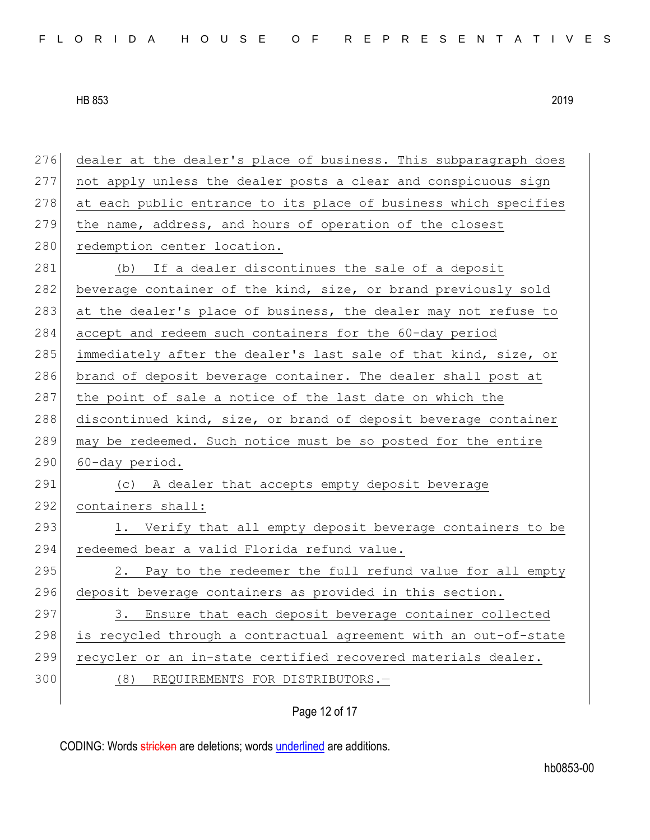276 dealer at the dealer's place of business. This subparagraph does 277 not apply unless the dealer posts a clear and conspicuous sign 278 at each public entrance to its place of business which specifies 279 the name, address, and hours of operation of the closest 280 redemption center location. 281 (b) If a dealer discontinues the sale of a deposit 282 beverage container of the kind, size, or brand previously sold 283 at the dealer's place of business, the dealer may not refuse to 284 accept and redeem such containers for the 60-day period 285 immediately after the dealer's last sale of that kind, size, or 286 brand of deposit beverage container. The dealer shall post at 287 the point of sale a notice of the last date on which the 288 discontinued kind, size, or brand of deposit beverage container 289 may be redeemed. Such notice must be so posted for the entire  $290$  60-day period. 291 (c) A dealer that accepts empty deposit beverage 292 containers shall: 293 1. Verify that all empty deposit beverage containers to be 294 redeemed bear a valid Florida refund value.  $295$  2. Pay to the redeemer the full refund value for all empty 296 deposit beverage containers as provided in this section. 297 3. Ensure that each deposit beverage container collected 298 is recycled through a contractual agreement with an out-of-state 299 recycler or an in-state certified recovered materials dealer. 300 (8) REQUIREMENTS FOR DISTRIBUTORS.-

Page 12 of 17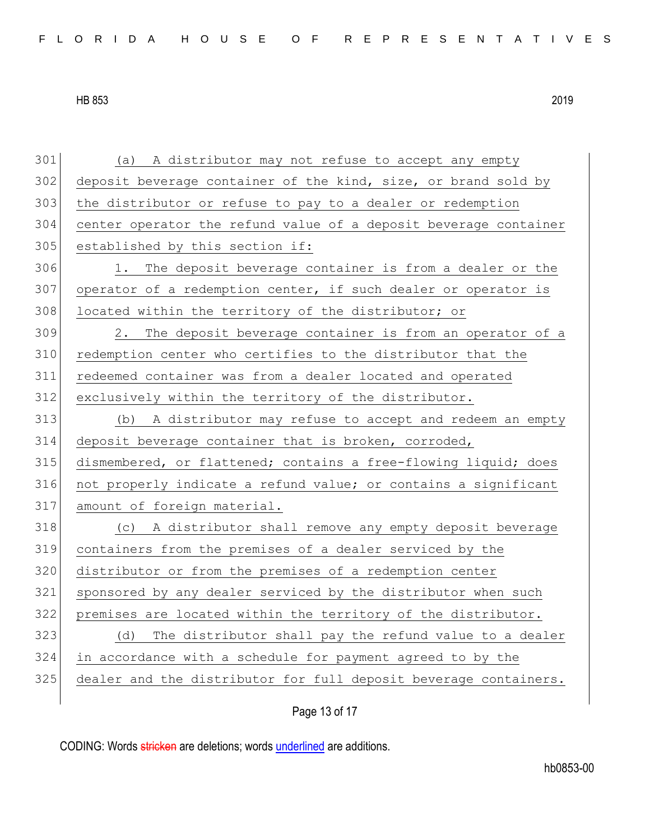| 301 | (a) A distributor may not refuse to accept any empty             |
|-----|------------------------------------------------------------------|
| 302 | deposit beverage container of the kind, size, or brand sold by   |
| 303 | the distributor or refuse to pay to a dealer or redemption       |
| 304 | center operator the refund value of a deposit beverage container |
| 305 | established by this section if:                                  |
| 306 | 1. The deposit beverage container is from a dealer or the        |
| 307 | operator of a redemption center, if such dealer or operator is   |
| 308 | located within the territory of the distributor; or              |
| 309 | 2.<br>The deposit beverage container is from an operator of a    |
| 310 | redemption center who certifies to the distributor that the      |
| 311 | redeemed container was from a dealer located and operated        |
| 312 | exclusively within the territory of the distributor.             |
| 313 | (b) A distributor may refuse to accept and redeem an empty       |
| 314 | deposit beverage container that is broken, corroded,             |
|     |                                                                  |
| 315 | dismembered, or flattened; contains a free-flowing liquid; does  |
| 316 | not properly indicate a refund value; or contains a significant  |
| 317 | amount of foreign material.                                      |
| 318 | A distributor shall remove any empty deposit beverage<br>(C)     |
| 319 | containers from the premises of a dealer serviced by the         |
| 320 | distributor or from the premises of a redemption center          |
| 321 | sponsored by any dealer serviced by the distributor when such    |
| 322 | premises are located within the territory of the distributor.    |
| 323 | The distributor shall pay the refund value to a dealer<br>(d)    |
| 324 | in accordance with a schedule for payment agreed to by the       |
| 325 | dealer and the distributor for full deposit beverage containers. |

Page 13 of 17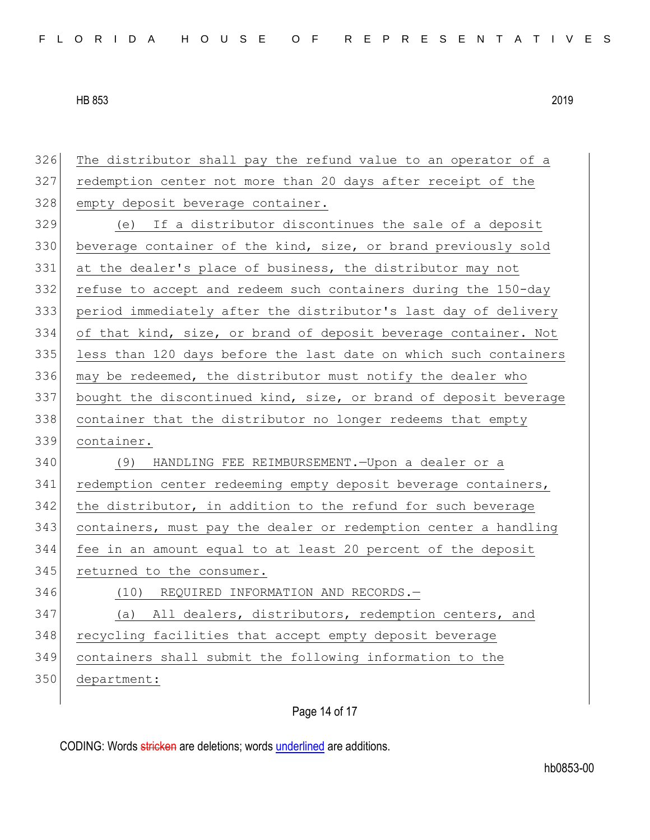| 326 | The distributor shall pay the refund value to an operator of a   |
|-----|------------------------------------------------------------------|
| 327 | redemption center not more than 20 days after receipt of the     |
| 328 | empty deposit beverage container.                                |
| 329 | (e) If a distributor discontinues the sale of a deposit          |
| 330 | beverage container of the kind, size, or brand previously sold   |
| 331 | at the dealer's place of business, the distributor may not       |
| 332 | refuse to accept and redeem such containers during the 150-day   |
| 333 | period immediately after the distributor's last day of delivery  |
| 334 | of that kind, size, or brand of deposit beverage container. Not  |
| 335 | less than 120 days before the last date on which such containers |
| 336 | may be redeemed, the distributor must notify the dealer who      |
| 337 | bought the discontinued kind, size, or brand of deposit beverage |
| 338 | container that the distributor no longer redeems that empty      |
| 339 | container.                                                       |
|     |                                                                  |
| 340 | (9)<br>HANDLING FEE REIMBURSEMENT. - Upon a dealer or a          |
| 341 | redemption center redeeming empty deposit beverage containers,   |
| 342 | the distributor, in addition to the refund for such beverage     |
| 343 | containers, must pay the dealer or redemption center a handling  |
| 344 | fee in an amount equal to at least 20 percent of the deposit     |
| 345 | returned to the consumer.                                        |
| 346 | (10) REQUIRED INFORMATION AND RECORDS.-                          |
| 347 | (a) All dealers, distributors, redemption centers, and           |
| 348 | recycling facilities that accept empty deposit beverage          |
| 349 | containers shall submit the following information to the         |
| 350 | department:                                                      |

Page 14 of 17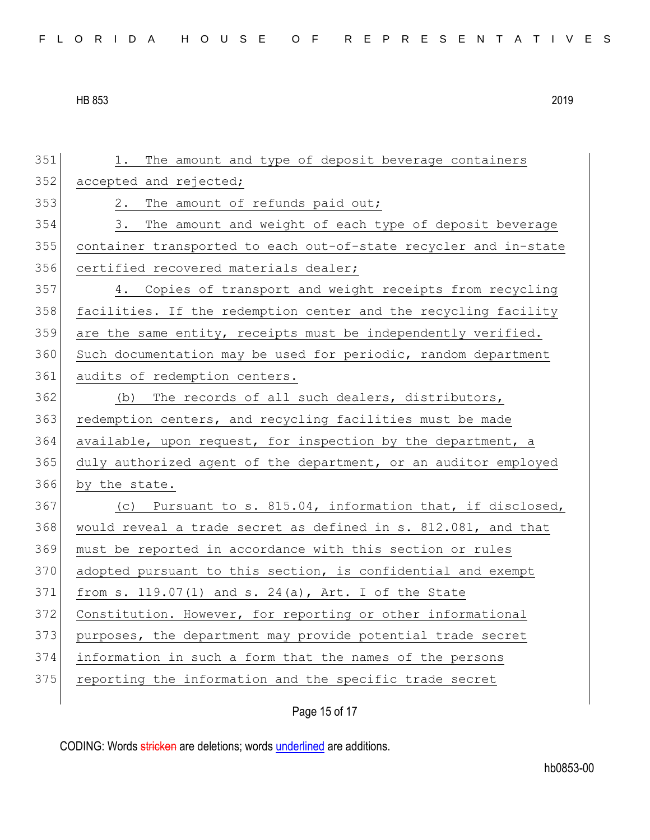|  |  |  |  |  | FLORIDA HOUSE OF REPRESENTATIVES |
|--|--|--|--|--|----------------------------------|
|--|--|--|--|--|----------------------------------|

Page 15 of 17 351 1. The amount and type of deposit beverage containers 352 accepted and rejected; 353 2. The amount of refunds paid out; 354 3. The amount and weight of each type of deposit beverage 355 container transported to each out-of-state recycler and in-state 356 certified recovered materials dealer; 357 4. Copies of transport and weight receipts from recycling 358 facilities. If the redemption center and the recycling facility  $359$  are the same entity, receipts must be independently verified. 360 Such documentation may be used for periodic, random department 361 audits of redemption centers. 362 (b) The records of all such dealers, distributors, 363 redemption centers, and recycling facilities must be made 364 available, upon request, for inspection by the department, a 365 duly authorized agent of the department, or an auditor employed 366 by the state. 367 (c) Pursuant to s. 815.04, information that, if disclosed, 368 would reveal a trade secret as defined in s. 812.081, and that 369 must be reported in accordance with this section or rules 370 adopted pursuant to this section, is confidential and exempt 371 from s. 119.07(1) and s. 24(a), Art. I of the State 372 Constitution. However, for reporting or other informational 373 purposes, the department may provide potential trade secret 374 information in such a form that the names of the persons 375 reporting the information and the specific trade secret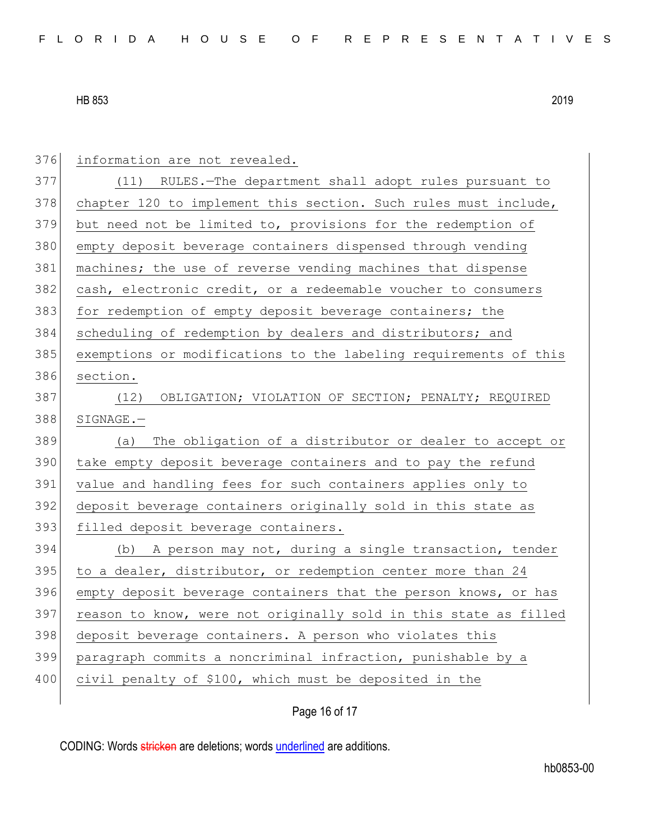| 376 | information are not revealed.                                    |
|-----|------------------------------------------------------------------|
| 377 | (11) RULES.-The department shall adopt rules pursuant to         |
| 378 | chapter 120 to implement this section. Such rules must include,  |
| 379 | but need not be limited to, provisions for the redemption of     |
| 380 | empty deposit beverage containers dispensed through vending      |
| 381 | machines; the use of reverse vending machines that dispense      |
| 382 | cash, electronic credit, or a redeemable voucher to consumers    |
| 383 | for redemption of empty deposit beverage containers; the         |
| 384 | scheduling of redemption by dealers and distributors; and        |
| 385 | exemptions or modifications to the labeling requirements of this |
| 386 | section.                                                         |
| 387 | OBLIGATION; VIOLATION OF SECTION; PENALTY; REQUIRED<br>(12)      |
| 388 | SIGNAGE.-                                                        |
| 389 | The obligation of a distributor or dealer to accept or<br>(a)    |
| 390 | take empty deposit beverage containers and to pay the refund     |
| 391 | value and handling fees for such containers applies only to      |
| 392 | deposit beverage containers originally sold in this state as     |
| 393 | filled deposit beverage containers.                              |
| 394 | A person may not, during a single transaction, tender<br>(b)     |
| 395 | to a dealer, distributor, or redemption center more than 24      |
| 396 | empty deposit beverage containers that the person knows, or has  |
| 397 | reason to know, were not originally sold in this state as filled |
| 398 | deposit beverage containers. A person who violates this          |
| 399 | paragraph commits a noncriminal infraction, punishable by a      |
| 400 | civil penalty of \$100, which must be deposited in the           |
|     |                                                                  |

Page 16 of 17